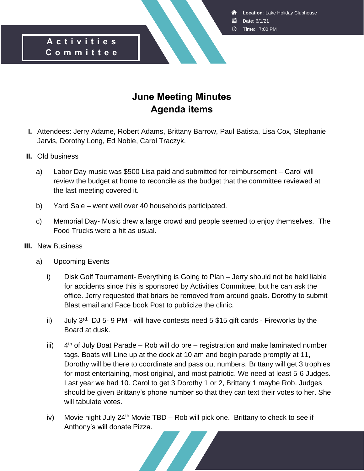**Location**: Lake Holiday Clubhouse

- **Date**: 6/1/21
- **Time**: 7:00 PM

### **A c t i v i t i e s C o m m i t t e e**

# **June Meeting Minutes Agenda items**

- **I.** Attendees: Jerry Adame, Robert Adams, Brittany Barrow, Paul Batista, Lisa Cox, Stephanie Jarvis, Dorothy Long, Ed Noble, Carol Traczyk,
- **II.** Old business
	- a) Labor Day music was \$500 Lisa paid and submitted for reimbursement Carol will review the budget at home to reconcile as the budget that the committee reviewed at the last meeting covered it.
	- b) Yard Sale went well over 40 households participated.
	- c) Memorial Day- Music drew a large crowd and people seemed to enjoy themselves. The Food Trucks were a hit as usual.
- **III.** New Business
	- a) Upcoming Events
		- i) Disk Golf Tournament- Everything is Going to Plan Jerry should not be held liable for accidents since this is sponsored by Activities Committee, but he can ask the office. Jerry requested that briars be removed from around goals. Dorothy to submit Blast email and Face book Post to publicize the clinic.
		- ii) July  $3^{rd}$ . DJ 5- 9 PM will have contests need 5 \$15 gift cards Fireworks by the Board at dusk.
		- iii) 4  $4<sup>th</sup>$  of July Boat Parade – Rob will do pre – registration and make laminated number tags. Boats will Line up at the dock at 10 am and begin parade promptly at 11, Dorothy will be there to coordinate and pass out numbers. Brittany will get 3 trophies for most entertaining, most original, and most patriotic. We need at least 5-6 Judges. Last year we had 10. Carol to get 3 Dorothy 1 or 2, Brittany 1 maybe Rob. Judges should be given Brittany's phone number so that they can text their votes to her. She will tabulate votes.
		- iv) Movie night July  $24<sup>th</sup>$  Movie TBD Rob will pick one. Brittany to check to see if Anthony's will donate Pizza.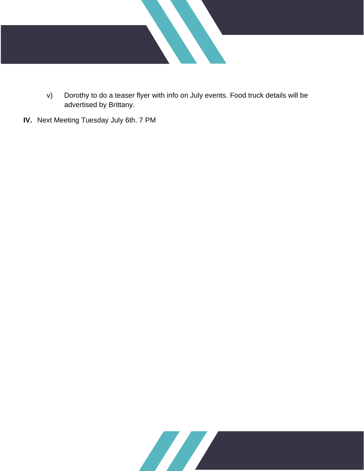

- v) Dorothy to do a teaser flyer with info on July events. Food truck details will be advertised by Brittany.
- **IV.** Next Meeting Tuesday July 6th. 7 PM

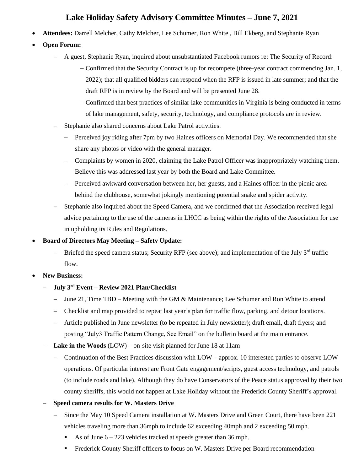## **Lake Holiday Safety Advisory Committee Minutes – June 7, 2021**

- **Attendees:** Darrell Melcher, Cathy Melcher, Lee Schumer, Ron White , Bill Ekberg, and Stephanie Ryan
- **Open Forum:**
	- − A guest, Stephanie Ryan, inquired about unsubstantiated Facebook rumors re: The Security of Record:
		- − Confirmed that the Security Contract is up for recompete (three-year contract commencing Jan. 1, 2022); that all qualified bidders can respond when the RFP is issued in late summer; and that the draft RFP is in review by the Board and will be presented June 28.
		- − Confirmed that best practices of similar lake communities in Virginia is being conducted in terms of lake management, safety, security, technology, and compliance protocols are in review.
	- − Stephanie also shared concerns about Lake Patrol activities:
		- − Perceived joy riding after 7pm by two Haines officers on Memorial Day. We recommended that she share any photos or video with the general manager.
		- − Complaints by women in 2020, claiming the Lake Patrol Officer was inappropriately watching them. Believe this was addressed last year by both the Board and Lake Committee.
		- − Perceived awkward conversation between her, her guests, and a Haines officer in the picnic area behind the clubhouse, somewhat jokingly mentioning potential snake and spider activity.
	- Stephanie also inquired about the Speed Camera, and we confirmed that the Association received legal advice pertaining to the use of the cameras in LHCC as being within the rights of the Association for use in upholding its Rules and Regulations.

#### • **Board of Directors May Meeting – Safety Update:**

- − Briefed the speed camera status; Security RFP (see above); and implementation of the July 3<sup>rd</sup> traffic flow.
- **New Business:**
	- − **July 3rd Event – Review 2021 Plan/Checklist**
		- − June 21, Time TBD Meeting with the GM & Maintenance; Lee Schumer and Ron White to attend
		- − Checklist and map provided to repeat last year's plan for traffic flow, parking, and detour locations.
		- − Article published in June newsletter (to be repeated in July newsletter); draft email, draft flyers; and posting "July3 Traffic Pattern Change, See Email" on the bulletin board at the main entrance.
	- **Lake in the Woods** (LOW) on-site visit planned for June 18 at 11am
		- − Continuation of the Best Practices discussion with LOW approx. 10 interested parties to observe LOW operations. Of particular interest are Front Gate engagement/scripts, guest access technology, and patrols (to include roads and lake). Although they do have Conservators of the Peace status approved by their two county sheriffs, this would not happen at Lake Holiday without the Frederick County Sheriff's approval.

#### − **Speed camera results for W. Masters Drive**

- − Since the May 10 Speed Camera installation at W. Masters Drive and Green Court, there have been 221 vehicles traveling more than 36mph to include 62 exceeding 40mph and 2 exceeding 50 mph.
	- As of June  $6 223$  vehicles tracked at speeds greater than 36 mph.
	- **•** Frederick County Sheriff officers to focus on W. Masters Drive per Board recommendation